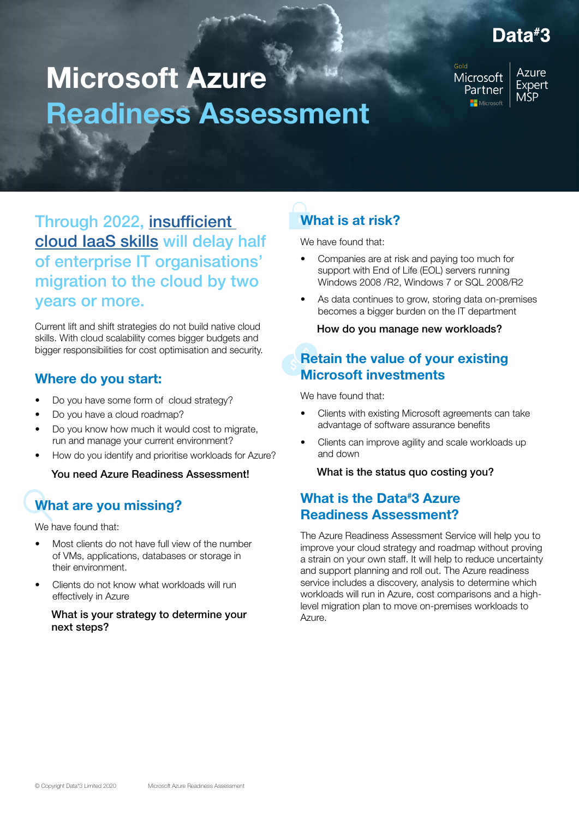# Data#3

# Microsoft Azure Readiness Assessment

Microsoft Partner Microsoft

**Azure** Expert **MSP** 

Through 2022, insufficient [cloud IaaS skills](https://clouddamcdnprodep.azureedge.net/gdc/gdcYW2go7/original?ocid=mkto_eml_em584784a1la1&mkt_tok=eyJpIjoiTkRGak9HRTFZbUZpWXpreSIsInQiOiJ2WGRESUVUd2pHZU8wMXBIbVFZb2xaVGVacVdlZmZkMmJyQ3U5Unc0SHlMVlI1SFRocDllM011RytPTGo3eTJ0cU5GWVlJSVgraW94VFh0TWpYZmsyVzBKcGF3WnJGRWlucUppSFllaTRneEF4NER6VkRHMSt5UzNHTUxnR29RVHU2M2xrajJoUUZ3ZGRmdFhyaU4wNkE9PSJ9) will delay half of enterprise IT organisations' migration to the cloud by two years or more.

Current lift and shift strategies do not build native cloud skills. With cloud scalability comes bigger budgets and bigger responsibilities for cost optimisation and security.

#### Where do you start:

- Do you have some form of cloud strategy?
- Do you have a cloud roadmap?
- Do you know how much it would cost to migrate, run and manage your current environment?
- How do you identify and prioritise workloads for Azure?

You need Azure Readiness Assessment!

# What are you missing?

We have found that:

- Most clients do not have full view of the number of VMs, applications, databases or storage in their environment.
- Clients do not know what workloads will run effectively in Azure

#### What is your strategy to determine your next steps?

# What is at risk?

We have found that:

- Companies are at risk and paying too much for support with End of Life (EOL) servers running Windows 2008 /R2, Windows 7 or SQL 2008/R2
- As data continues to grow, storing data on-premises becomes a bigger burden on the IT department

How do you manage new workloads?

### Retain the value of your existing Microsoft investments

We have found that:

- Clients with existing Microsoft agreements can take advantage of software assurance benefits
- Clients can improve agility and scale workloads up and down

What is the status quo costing you?

### What is the Data<sup>#</sup>3 Azure Readiness Assessment?

The Azure Readiness Assessment Service will help you to improve your cloud strategy and roadmap without proving a strain on your own staff. It will help to reduce uncertainty and support planning and roll out. The Azure readiness service includes a discovery, analysis to determine which workloads will run in Azure, cost comparisons and a highlevel migration plan to move on-premises workloads to Azure.